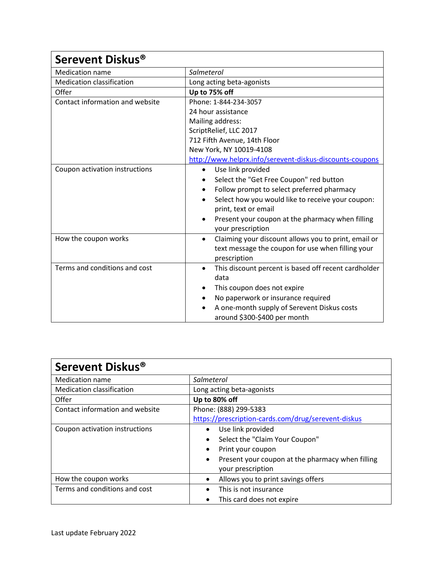| Serevent Diskus <sup>®</sup>     |                                                                   |
|----------------------------------|-------------------------------------------------------------------|
| <b>Medication name</b>           | Salmeterol                                                        |
| <b>Medication classification</b> | Long acting beta-agonists                                         |
| Offer                            | Up to 75% off                                                     |
| Contact information and website  | Phone: 1-844-234-3057                                             |
|                                  | 24 hour assistance                                                |
|                                  | Mailing address:                                                  |
|                                  | ScriptRelief, LLC 2017                                            |
|                                  | 712 Fifth Avenue, 14th Floor                                      |
|                                  | New York, NY 10019-4108                                           |
|                                  | http://www.helprx.info/serevent-diskus-discounts-coupons          |
| Coupon activation instructions   | Use link provided<br>$\bullet$                                    |
|                                  | Select the "Get Free Coupon" red button                           |
|                                  | Follow prompt to select preferred pharmacy<br>$\bullet$           |
|                                  | Select how you would like to receive your coupon:                 |
|                                  | print, text or email                                              |
|                                  | Present your coupon at the pharmacy when filling                  |
|                                  | your prescription                                                 |
| How the coupon works             | Claiming your discount allows you to print, email or<br>$\bullet$ |
|                                  | text message the coupon for use when filling your                 |
|                                  | prescription                                                      |
| Terms and conditions and cost    | This discount percent is based off recent cardholder<br>$\bullet$ |
|                                  | data                                                              |
|                                  | This coupon does not expire                                       |
|                                  | No paperwork or insurance required                                |
|                                  | A one-month supply of Serevent Diskus costs                       |
|                                  | around \$300-\$400 per month                                      |

| Serevent Diskus <sup>®</sup>     |                                                               |
|----------------------------------|---------------------------------------------------------------|
| Medication name                  | Salmeterol                                                    |
| <b>Medication classification</b> | Long acting beta-agonists                                     |
| Offer                            | Up to 80% off                                                 |
| Contact information and website  | Phone: (888) 299-5383                                         |
|                                  | https://prescription-cards.com/drug/serevent-diskus           |
| Coupon activation instructions   | Use link provided<br>$\bullet$                                |
|                                  | Select the "Claim Your Coupon"<br>٠                           |
|                                  | Print your coupon                                             |
|                                  | Present your coupon at the pharmacy when filling<br>$\bullet$ |
|                                  | your prescription                                             |
| How the coupon works             | Allows you to print savings offers<br>$\bullet$               |
| Terms and conditions and cost    | This is not insurance                                         |
|                                  | This card does not expire                                     |